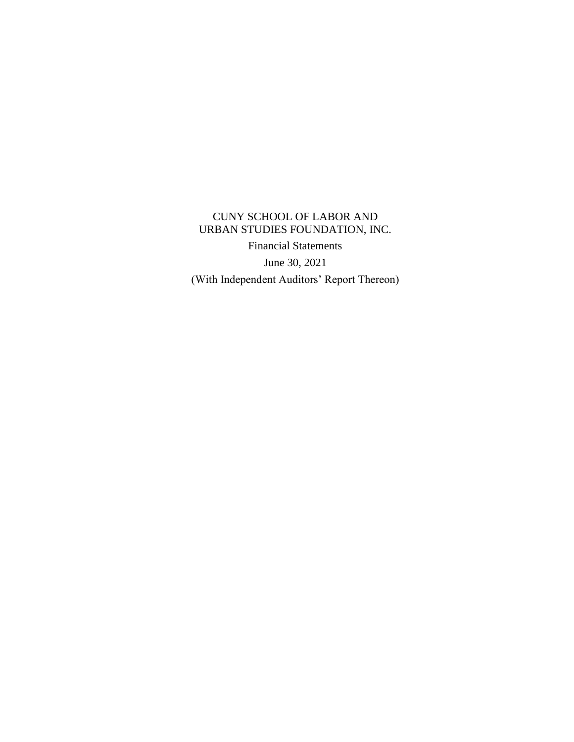CUNY SCHOOL OF LABOR AND URBAN STUDIES FOUNDATION, INC. Financial Statements June 30, 2021 (With Independent Auditors' Report Thereon)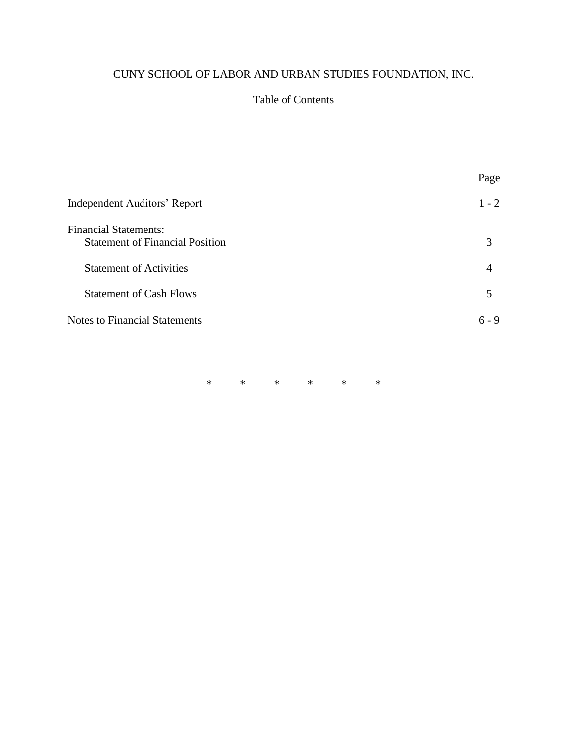# Table of Contents

|                                                                        | Page    |
|------------------------------------------------------------------------|---------|
| Independent Auditors' Report                                           | $1 - 2$ |
| <b>Financial Statements:</b><br><b>Statement of Financial Position</b> | 3       |
| <b>Statement of Activities</b>                                         | 4       |
| <b>Statement of Cash Flows</b>                                         | 5       |
| <b>Notes to Financial Statements</b>                                   | $6 - 9$ |
|                                                                        |         |

\* \* \* \* \* \*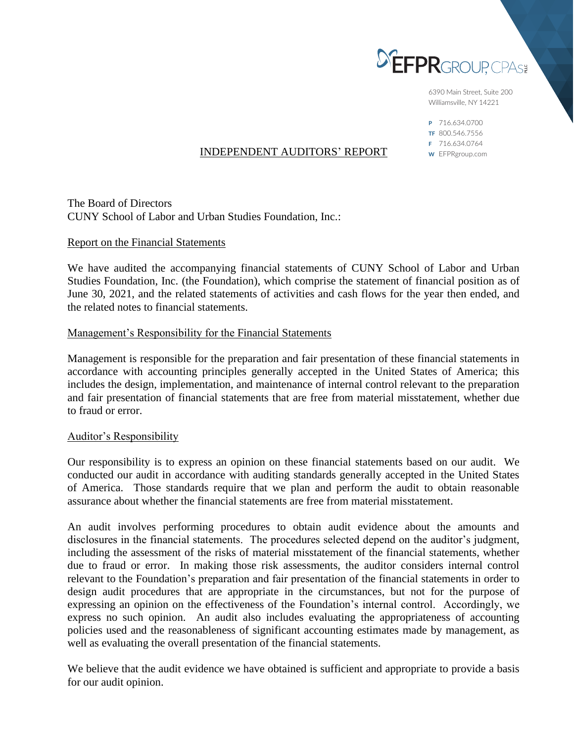

6390 Main Street, Suite 200 Williamsville, NY 14221

P 716.634.0700 TF 800.546.7556 F 716.634.0764 W EFPRgroup.com

# INDEPENDENT AUDITORS' REPORT

The Board of Directors CUNY School of Labor and Urban Studies Foundation, Inc.:

## Report on the Financial Statements

We have audited the accompanying financial statements of CUNY School of Labor and Urban Studies Foundation, Inc. (the Foundation), which comprise the statement of financial position as of June 30, 2021, and the related statements of activities and cash flows for the year then ended, and the related notes to financial statements.

## Management's Responsibility for the Financial Statements

Management is responsible for the preparation and fair presentation of these financial statements in accordance with accounting principles generally accepted in the United States of America; this includes the design, implementation, and maintenance of internal control relevant to the preparation and fair presentation of financial statements that are free from material misstatement, whether due to fraud or error.

# Auditor's Responsibility

Our responsibility is to express an opinion on these financial statements based on our audit. We conducted our audit in accordance with auditing standards generally accepted in the United States of America. Those standards require that we plan and perform the audit to obtain reasonable assurance about whether the financial statements are free from material misstatement.

An audit involves performing procedures to obtain audit evidence about the amounts and disclosures in the financial statements. The procedures selected depend on the auditor's judgment, including the assessment of the risks of material misstatement of the financial statements, whether due to fraud or error. In making those risk assessments, the auditor considers internal control relevant to the Foundation's preparation and fair presentation of the financial statements in order to design audit procedures that are appropriate in the circumstances, but not for the purpose of expressing an opinion on the effectiveness of the Foundation's internal control. Accordingly, we express no such opinion. An audit also includes evaluating the appropriateness of accounting policies used and the reasonableness of significant accounting estimates made by management, as well as evaluating the overall presentation of the financial statements.

We believe that the audit evidence we have obtained is sufficient and appropriate to provide a basis for our audit opinion.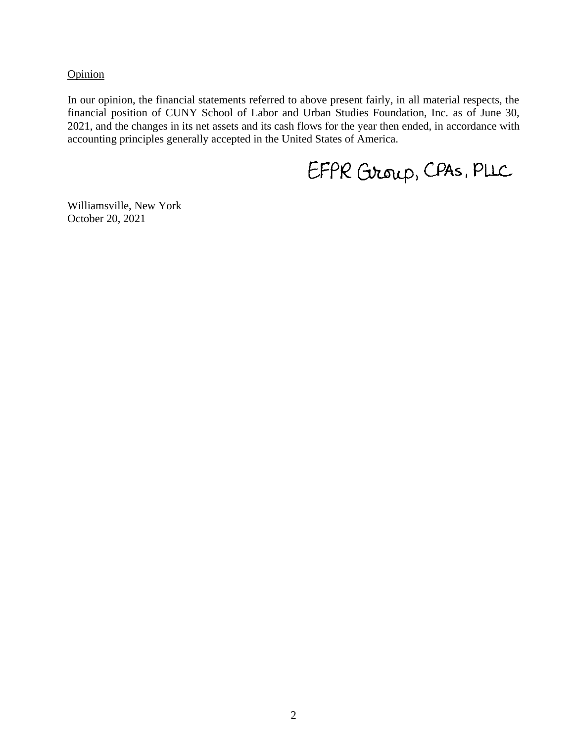**Opinion** 

In our opinion, the financial statements referred to above present fairly, in all material respects, the financial position of CUNY School of Labor and Urban Studies Foundation, Inc. as of June 30, 2021, and the changes in its net assets and its cash flows for the year then ended, in accordance with accounting principles generally accepted in the United States of America.

EFPR Group, CPAS, PLLC

Williamsville, New York October 20, 2021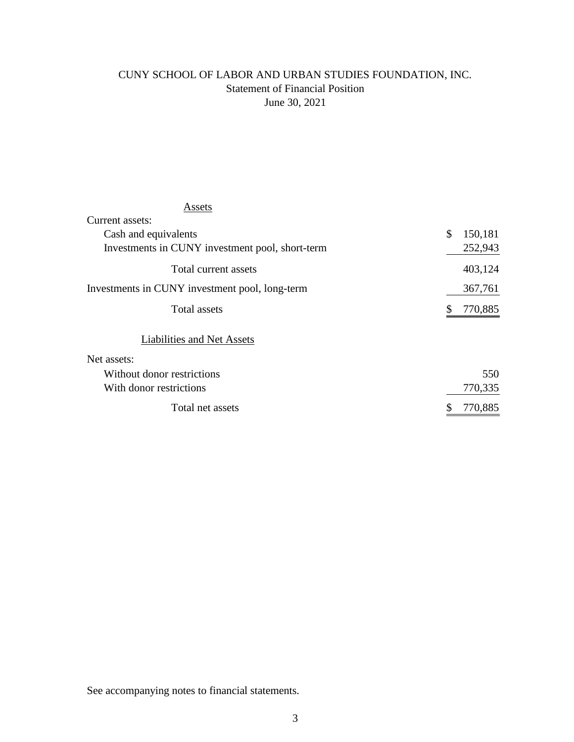# CUNY SCHOOL OF LABOR AND URBAN STUDIES FOUNDATION, INC. Statement of Financial Position June 30, 2021

# Assets

| Current assets:                                 |               |
|-------------------------------------------------|---------------|
| Cash and equivalents                            | \$<br>150,181 |
| Investments in CUNY investment pool, short-term | 252,943       |
| Total current assets                            | 403,124       |
| Investments in CUNY investment pool, long-term  | 367,761       |
| Total assets                                    | 770,885       |
| Liabilities and Net Assets                      |               |
| Net assets:                                     |               |
| Without donor restrictions                      | 550           |
| With donor restrictions                         | 770,335       |
| Total net assets                                | 770,885<br>\$ |

See accompanying notes to financial statements.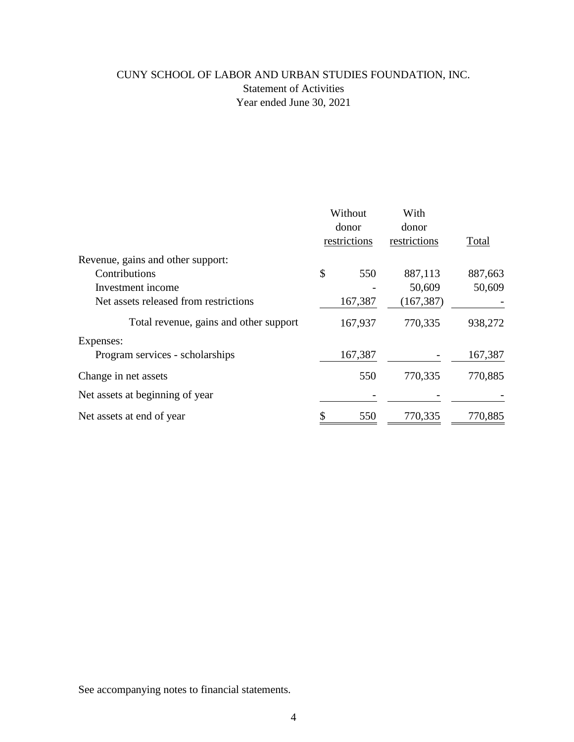# CUNY SCHOOL OF LABOR AND URBAN STUDIES FOUNDATION, INC. Statement of Activities Year ended June 30, 2021

|                                        | Without<br>donor<br>restrictions |         | With<br>donor |         |
|----------------------------------------|----------------------------------|---------|---------------|---------|
|                                        |                                  |         |               |         |
| Revenue, gains and other support:      |                                  |         |               |         |
| Contributions                          | \$                               | 550     | 887,113       | 887,663 |
| Investment income                      |                                  |         | 50,609        | 50,609  |
| Net assets released from restrictions  |                                  | 167,387 | (167, 387)    |         |
| Total revenue, gains and other support |                                  | 167,937 | 770,335       | 938,272 |
| Expenses:                              |                                  |         |               |         |
| Program services - scholarships        |                                  | 167,387 |               | 167,387 |
| Change in net assets                   |                                  | 550     | 770,335       | 770,885 |
| Net assets at beginning of year        |                                  |         |               |         |
| Net assets at end of year              |                                  | 550     | 770,335       | 770,885 |

See accompanying notes to financial statements.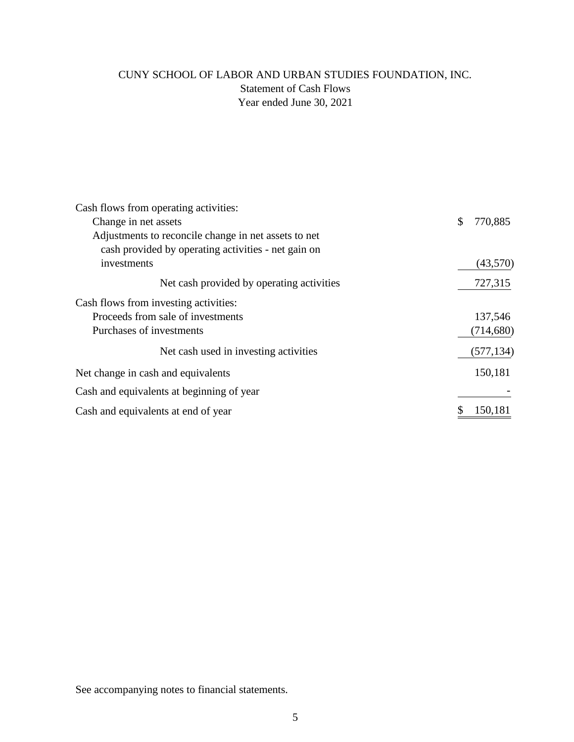# CUNY SCHOOL OF LABOR AND URBAN STUDIES FOUNDATION, INC. Statement of Cash Flows Year ended June 30, 2021

| Cash flows from operating activities:                |               |
|------------------------------------------------------|---------------|
| Change in net assets                                 | \$<br>770,885 |
| Adjustments to reconcile change in net assets to net |               |
| cash provided by operating activities - net gain on  |               |
| investments                                          | (43,570)      |
| Net cash provided by operating activities            | 727,315       |
| Cash flows from investing activities:                |               |
| Proceeds from sale of investments                    | 137,546       |
| Purchases of investments                             | (714, 680)    |
| Net cash used in investing activities                | (577, 134)    |
| Net change in cash and equivalents                   | 150,181       |
| Cash and equivalents at beginning of year            |               |
| Cash and equivalents at end of year                  | 150,181       |

See accompanying notes to financial statements.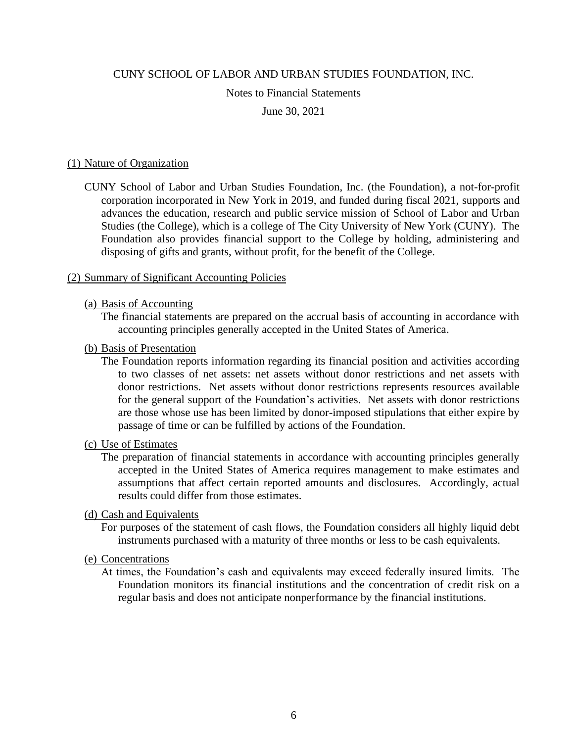## Notes to Financial Statements

#### June 30, 2021

#### (1) Nature of Organization

CUNY School of Labor and Urban Studies Foundation, Inc. (the Foundation), a not-for-profit corporation incorporated in New York in 2019, and funded during fiscal 2021, supports and advances the education, research and public service mission of School of Labor and Urban Studies (the College), which is a college of The City University of New York (CUNY). The Foundation also provides financial support to the College by holding, administering and disposing of gifts and grants, without profit, for the benefit of the College.

#### (2) Summary of Significant Accounting Policies

#### (a) Basis of Accounting

The financial statements are prepared on the accrual basis of accounting in accordance with accounting principles generally accepted in the United States of America.

#### (b) Basis of Presentation

The Foundation reports information regarding its financial position and activities according to two classes of net assets: net assets without donor restrictions and net assets with donor restrictions. Net assets without donor restrictions represents resources available for the general support of the Foundation's activities. Net assets with donor restrictions are those whose use has been limited by donor-imposed stipulations that either expire by passage of time or can be fulfilled by actions of the Foundation.

#### (c) Use of Estimates

The preparation of financial statements in accordance with accounting principles generally accepted in the United States of America requires management to make estimates and assumptions that affect certain reported amounts and disclosures. Accordingly, actual results could differ from those estimates.

#### (d) Cash and Equivalents

For purposes of the statement of cash flows, the Foundation considers all highly liquid debt instruments purchased with a maturity of three months or less to be cash equivalents.

# (e) Concentrations

At times, the Foundation's cash and equivalents may exceed federally insured limits. The Foundation monitors its financial institutions and the concentration of credit risk on a regular basis and does not anticipate nonperformance by the financial institutions.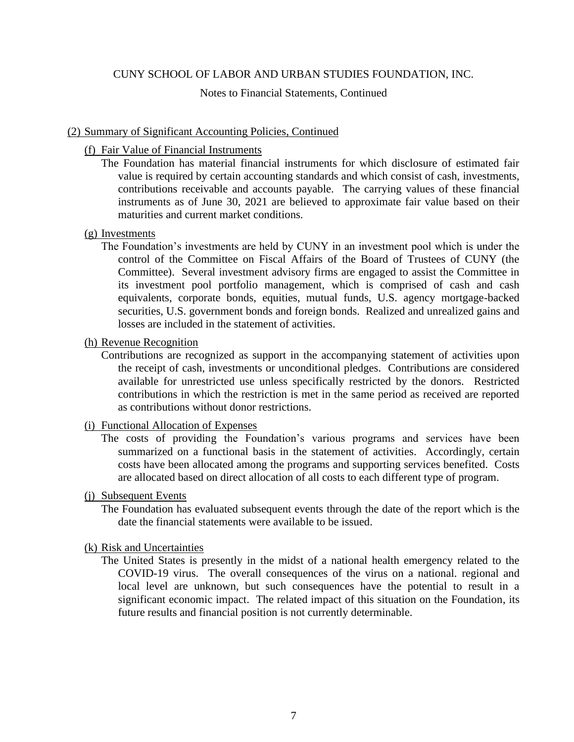Notes to Financial Statements, Continued

## (2) Summary of Significant Accounting Policies, Continued

- (f) Fair Value of Financial Instruments
	- The Foundation has material financial instruments for which disclosure of estimated fair value is required by certain accounting standards and which consist of cash, investments, contributions receivable and accounts payable. The carrying values of these financial instruments as of June 30, 2021 are believed to approximate fair value based on their maturities and current market conditions.

## (g) Investments

The Foundation's investments are held by CUNY in an investment pool which is under the control of the Committee on Fiscal Affairs of the Board of Trustees of CUNY (the Committee). Several investment advisory firms are engaged to assist the Committee in its investment pool portfolio management, which is comprised of cash and cash equivalents, corporate bonds, equities, mutual funds, U.S. agency mortgage-backed securities, U.S. government bonds and foreign bonds. Realized and unrealized gains and losses are included in the statement of activities.

## (h) Revenue Recognition

Contributions are recognized as support in the accompanying statement of activities upon the receipt of cash, investments or unconditional pledges. Contributions are considered available for unrestricted use unless specifically restricted by the donors. Restricted contributions in which the restriction is met in the same period as received are reported as contributions without donor restrictions.

# (i) Functional Allocation of Expenses

The costs of providing the Foundation's various programs and services have been summarized on a functional basis in the statement of activities. Accordingly, certain costs have been allocated among the programs and supporting services benefited. Costs are allocated based on direct allocation of all costs to each different type of program.

#### (j) Subsequent Events

The Foundation has evaluated subsequent events through the date of the report which is the date the financial statements were available to be issued.

# (k) Risk and Uncertainties

The United States is presently in the midst of a national health emergency related to the COVID-19 virus. The overall consequences of the virus on a national. regional and local level are unknown, but such consequences have the potential to result in a significant economic impact. The related impact of this situation on the Foundation, its future results and financial position is not currently determinable.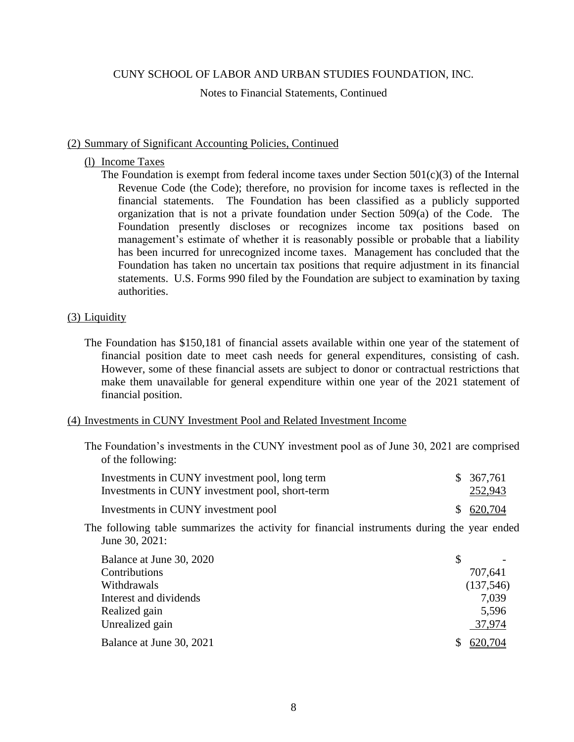Notes to Financial Statements, Continued

#### (2) Summary of Significant Accounting Policies, Continued

## (l) Income Taxes

The Foundation is exempt from federal income taxes under Section  $501(c)(3)$  of the Internal Revenue Code (the Code); therefore, no provision for income taxes is reflected in the financial statements. The Foundation has been classified as a publicly supported organization that is not a private foundation under Section 509(a) of the Code. The Foundation presently discloses or recognizes income tax positions based on management's estimate of whether it is reasonably possible or probable that a liability has been incurred for unrecognized income taxes. Management has concluded that the Foundation has taken no uncertain tax positions that require adjustment in its financial statements. U.S. Forms 990 filed by the Foundation are subject to examination by taxing authorities.

# (3) Liquidity

The Foundation has \$150,181 of financial assets available within one year of the statement of financial position date to meet cash needs for general expenditures, consisting of cash. However, some of these financial assets are subject to donor or contractual restrictions that make them unavailable for general expenditure within one year of the 2021 statement of financial position.

# (4) Investments in CUNY Investment Pool and Related Investment Income

The Foundation's investments in the CUNY investment pool as of June 30, 2021 are comprised of the following:

| Investments in CUNY investment pool, long term  | \$ 367,761 |
|-------------------------------------------------|------------|
| Investments in CUNY investment pool, short-term | 252,943    |
| Investments in CUNY investment pool             | \$620,704  |

The following table summarizes the activity for financial instruments during the year ended June 30, 2021:

| Balance at June 30, 2020 |           |
|--------------------------|-----------|
| Contributions            | 707,641   |
| Withdrawals              | (137,546) |
| Interest and dividends   | 7,039     |
| Realized gain            | 5,596     |
| Unrealized gain          | 37,974    |
| Balance at June 30, 2021 | 620,704   |